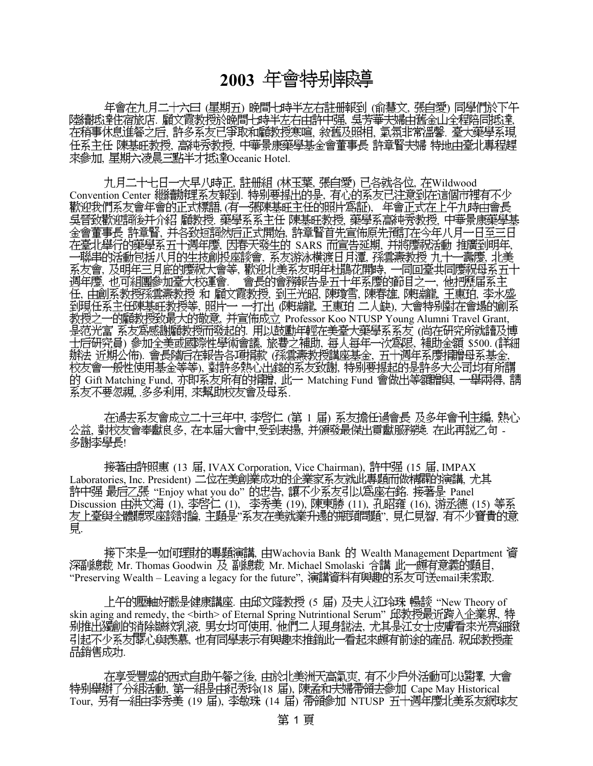## **2003**

(星期五) 晩間七時半左右註册報到 (俞慧文, 張自愛) ―― . 顧文霞教授於晩間七時半左右由許中强, 吳芳華夫婦由舊金山全程陪同抵達, 在稍事休息進餐之后, 許多系友已爭取和顧教授寒喧, 敘舊及照相, 氣氛非常溫馨, 臺大藥學系現 任系主任 陳基旺教授, 高純秀教授, 中華景康藥學基金會董事長 許章賢夫婦 特地由臺北專程趕 来參加, 星期六凌晨三點半才抵達Oceanic Hotel.

, 註册組 (林玉葉, 張自愛) 已各就各位, 在Wildwood Convention Center 繼續辦理系友報到. 特别要提出的是, 歡迎我們系友會年會的正式標語,(有一張陳基旺主任的照片爲証), 年會正式在上午九時由會長 吳晉致歡迎詞後并介紹 顧教授 藥學系系主任 陳基旺教授、藥學系高純秀教授、中華景康藥學基 ,并各致短詞然后正式開始, ,因春天發生的 SARS 而宣告延期,并將慶祝活動 推廣到明年, , 系友游泳横渡日月潭, 孫雲燾教授 九十一壽慶, ,及明年三月底的慶祝大會等,歡迎北美系友明年杜鵑花開時, ,也可組團參加臺大校運會. 會長的會務報告是五十年系慶的節目之一, ,由創系教授孫雲燾教授 和 顧文霞教授,到王光昭,陳瓊雪,陳春雄,陳瑞龍,王惠珀, ,照片一 一打出 (陳瑞龍, 王惠珀 二人缺), 教授之一的顧教授致最大的敬意, 并宣佈成立 Professor Koo NTUSP Young Alumni Travel Grant, 是范光富 系友爲感謝顧教授而發起的 用以鼓勵年輕在美臺大藥學系系友 (尚在研究所就讀及博 ) , , , \$500. ( 辦法 近期公佈). 會長隨后在報告各項捐款 (孫雲燾教授講座基金, 五十週年系慶捐贈母系基金, 校友會一般性使用基金等等),對許多熱心出錢的系友致謝,特别要提起的是許多大公司均有所謂 的 Gift Matching Fund, 亦即系友所有的捐贈, 此一 Matching Fund 會做出等額贈與, 一舉兩得, 請 系友不要忽視,多多利用,來幫助校友會及母系.

在過去系友會成立二十三年中,李啓仁 (第 1 届) 系友擔任過會長 及多年會刊主編,熱心 公益, 對校友會奉獻良多, 在本届大會中,受到表揚, 并頒發最傑出貢獻服務獎. 在此再説乙句 -多謝李學長!

接著由許照惠 (13 届, IVAX Corporation, Vice Chairman), 許中强 (15 届, IMPAX Laboratories,Inc.President) 二位在美創業成功的企業家系友就此專題而做精闢的演講, "Enjoy what you do" 的忠告,讓不少系友引以爲座右銘. 接著是 Panel Discussion 由洪文海 (1), 李啓仁 (1), 李秀美 (19), 陳東勝 (11), 孔昭雍 (16), 游丞德 (15) 等系 , " ", , 覓

接下來是一如何理財的專題演講, 由Wachovia Bank 的 Wealth Management Department 資 深副總裁 Mr. Thomas Goodwin 及 副總裁 Mr. Michael Smolaski 合講 此一頗有意義的題目、 "Preserving Wealth – Leaving a legacy for the future", 演講資料有興趣的系友可送email耒索取.

上午的壓軸好戲是健康講座 由邱文隆教授 (5 届) 及夫人江玲珠 暢談 "New Theory of skin aging and remedy, the <birth> of Eternal Spring Nutrintional Serum" 邱教授最近跨入企業界, 特 别推出獨創的消除皺紋乳液,男女均可使用,他們二人現身說法,尤其是江女士皮膚看來光亮細緻 引起不少系友關心與羨慕,也有同學表示有興趣來推銷此一看起來頗有前途的產品,祝邱教授產 品銷售成功

在享受豐盛的西式自助午餐之後,由於北美洲天高氣爽,有不少戶外活動可以選擇,大會 特别舉辦了分組活動, 第一組是由紀秀玲(18 届), 陳孟和夫婦帶領去參加 Cape May Historical Tour, 另有一組由李秀美 (19 届), 李敏珠 (14 届) 帶領參加 NTUSP 五十週年慶北美系友網球友